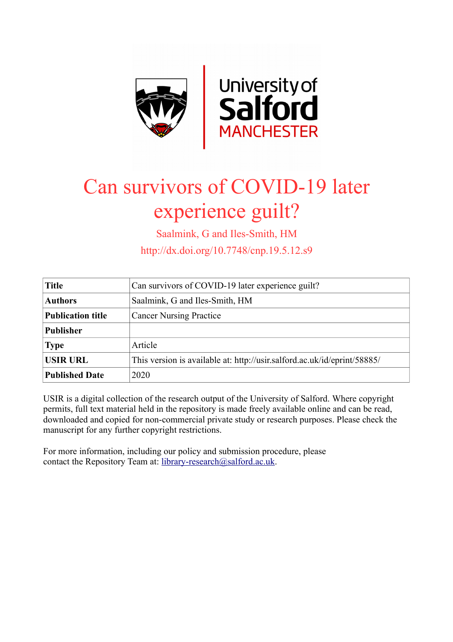

## Can survivors of COVID-19 later experience guilt?

Saalmink, G and Iles-Smith, HM

http://dx.doi.org/10.7748/cnp.19.5.12.s9

| <b>Title</b>             | Can survivors of COVID-19 later experience guilt?                        |
|--------------------------|--------------------------------------------------------------------------|
| <b>Authors</b>           | Saalmink, G and Iles-Smith, HM                                           |
| <b>Publication title</b> | <b>Cancer Nursing Practice</b>                                           |
| <b>Publisher</b>         |                                                                          |
| <b>Type</b>              | Article                                                                  |
| <b>USIR URL</b>          | This version is available at: http://usir.salford.ac.uk/id/eprint/58885/ |
| <b>Published Date</b>    | 2020                                                                     |

USIR is a digital collection of the research output of the University of Salford. Where copyright permits, full text material held in the repository is made freely available online and can be read, downloaded and copied for non-commercial private study or research purposes. Please check the manuscript for any further copyright restrictions.

For more information, including our policy and submission procedure, please contact the Repository Team at: [library-research@salford.ac.uk.](mailto:library-research@salford.ac.uk)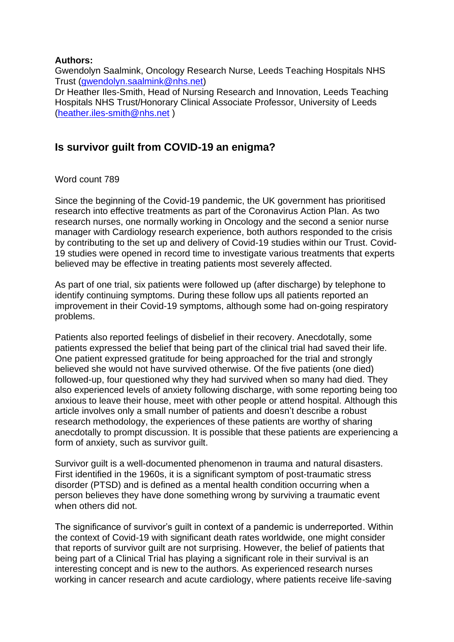## **Authors:**

Gwendolyn Saalmink, Oncology Research Nurse, Leeds Teaching Hospitals NHS Trust [\(gwendolyn.saalmink@nhs.net\)](mailto:gwendolyn.saalmink@nhs.net) Dr Heather Iles-Smith, Head of Nursing Research and Innovation, Leeds Teaching Hospitals NHS Trust/Honorary Clinical Associate Professor, University of Leeds [\(heather.iles-smith@nhs.net](mailto:heather.iles-smith@nhs.net) )

## **Is survivor guilt from COVID-19 an enigma?**

## Word count 789

Since the beginning of the Covid-19 pandemic, the UK government has prioritised research into effective treatments as part of the Coronavirus Action Plan. As two research nurses, one normally working in Oncology and the second a senior nurse manager with Cardiology research experience, both authors responded to the crisis by contributing to the set up and delivery of Covid-19 studies within our Trust. Covid-19 studies were opened in record time to investigate various treatments that experts believed may be effective in treating patients most severely affected.

As part of one trial, six patients were followed up (after discharge) by telephone to identify continuing symptoms. During these follow ups all patients reported an improvement in their Covid-19 symptoms, although some had on-going respiratory problems.

Patients also reported feelings of disbelief in their recovery. Anecdotally, some patients expressed the belief that being part of the clinical trial had saved their life. One patient expressed gratitude for being approached for the trial and strongly believed she would not have survived otherwise. Of the five patients (one died) followed-up, four questioned why they had survived when so many had died. They also experienced levels of anxiety following discharge, with some reporting being too anxious to leave their house, meet with other people or attend hospital. Although this article involves only a small number of patients and doesn't describe a robust research methodology, the experiences of these patients are worthy of sharing anecdotally to prompt discussion. It is possible that these patients are experiencing a form of anxiety, such as survivor guilt.

Survivor guilt is a well-documented phenomenon in trauma and natural disasters. First identified in the 1960s, it is a significant symptom of post-traumatic stress disorder (PTSD) and is defined as a mental health condition occurring when a person believes they have done something wrong by surviving a traumatic event when others did not.

The significance of survivor's guilt in context of a pandemic is underreported. Within the context of Covid-19 with significant death rates worldwide, one might consider that reports of survivor guilt are not surprising. However, the belief of patients that being part of a Clinical Trial has playing a significant role in their survival is an interesting concept and is new to the authors. As experienced research nurses working in cancer research and acute cardiology, where patients receive life-saving